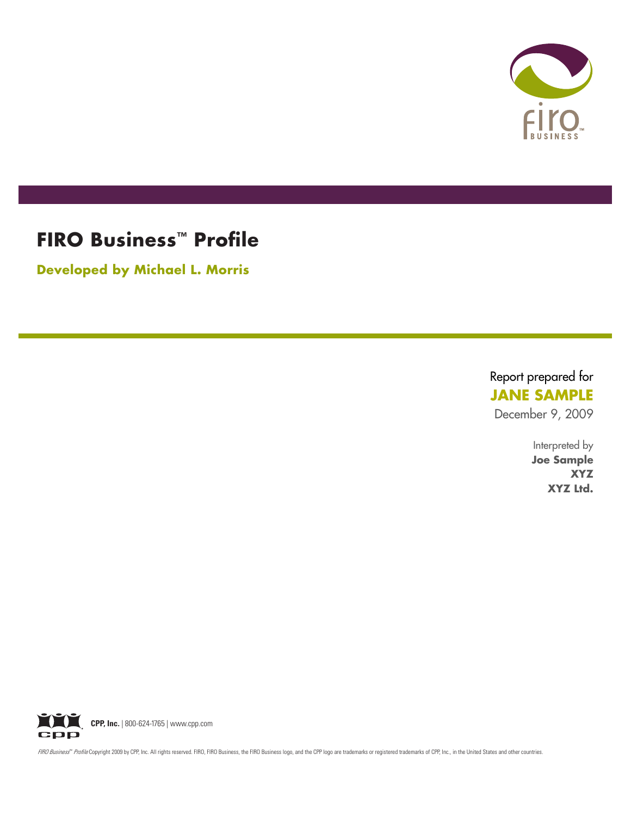

# **FIRO Business™ Profile**

**Developed by Michael L. Morris**

Report prepared for **JANE SAMPLE** December 9, 2009

> Interpreted by **Joe Sample XYZ XYZ Ltd.**



FIRO Business<sup>as</sup> Profile Copyright 2009 by CPP, Inc. All rights reserved. FIRO, FIRO Business, the FIRO Business logo, and the CPP logo are trademarks or registered trademarks of CPP, Inc., in the United States and other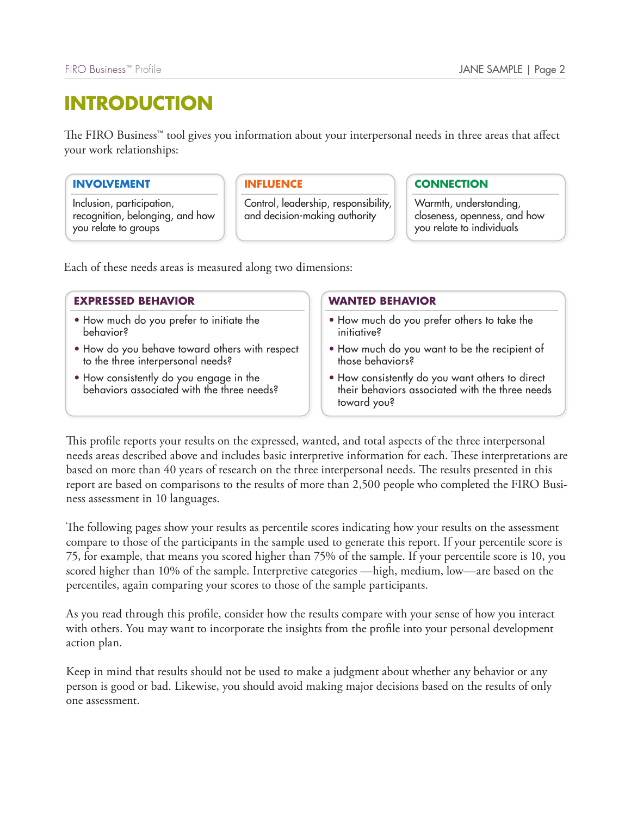# **Introduction**

The FIRO Business<sup>™</sup> tool gives you information about your interpersonal needs in three areas that affect your work relationships:

### **INVOLVEMENT**

Inclusion, participation, recognition, belonging, and how you relate to groups

### **INFLUENCE**

Control, leadership, responsibility, and decision-making authority

### **CONNECTION**

Warmth, understanding, closeness, openness, and how you relate to individuals

Each of these needs areas is measured along two dimensions:

### **EXPRESSED BEHAVIOR**

- How much do you prefer to initiate the behavior?
- How do you behave toward others with respect to the three interpersonal needs?
- How consistently do you engage in the behaviors associated with the three needs?

### **WANTED BEHAVIOR**

- How much do you prefer others to take the initiative?
- How much do you want to be the recipient of those behaviors?
- How consistently do you want others to direct their behaviors associated with the three needs toward you?

This profile reports your results on the expressed, wanted, and total aspects of the three interpersonal needs areas described above and includes basic interpretive information for each. These interpretations are based on more than 40 years of research on the three interpersonal needs. The results presented in this report are based on comparisons to the results of more than 2,500 people who completed the FIRO Business assessment in 10 languages.

The following pages show your results as percentile scores indicating how your results on the assessment compare to those of the participants in the sample used to generate this report. If your percentile score is 75, for example, that means you scored higher than 75% of the sample. If your percentile score is 10, you scored higher than 10% of the sample. Interpretive categories —high, medium, low—are based on the percentiles, again comparing your scores to those of the sample participants.

As you read through this profile, consider how the results compare with your sense of how you interact with others. You may want to incorporate the insights from the profile into your personal development action plan.

Keep in mind that results should not be used to make a judgment about whether any behavior or any person is good or bad. Likewise, you should avoid making major decisions based on the results of only one assessment.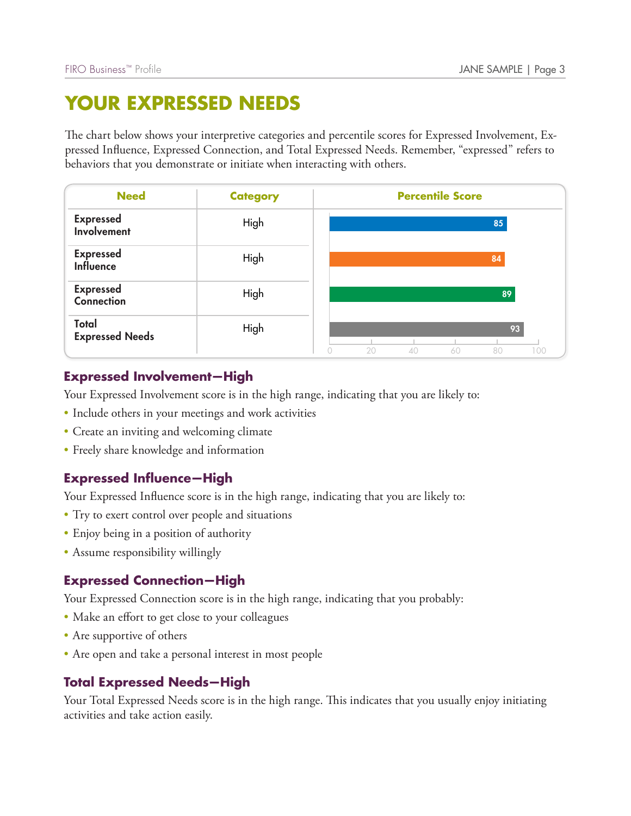# **YOUR EXPRESSED NEEDS**

| <b>Need</b>                                       | <b>Category</b>                                                                         | <b>Percentile Score</b>                                                                   |     |
|---------------------------------------------------|-----------------------------------------------------------------------------------------|-------------------------------------------------------------------------------------------|-----|
| <b>Expressed</b><br>Involvement                   | High                                                                                    | 85                                                                                        |     |
| <b>Expressed</b><br><b>Influence</b>              | High                                                                                    | 84                                                                                        |     |
| <b>Expressed</b><br><b>Connection</b>             | High                                                                                    | 89                                                                                        |     |
| Total<br><b>Expressed Needs</b>                   | High<br>$\bigcirc$                                                                      | 93<br>20<br>40<br>60<br>80                                                                | 100 |
| <b>Expressed Involvement-High</b>                 |                                                                                         |                                                                                           |     |
|                                                   |                                                                                         |                                                                                           |     |
|                                                   |                                                                                         | Your Expressed Involvement score is in the high range, indicating that you are likely to: |     |
|                                                   | • Include others in your meetings and work activities                                   |                                                                                           |     |
| • Create an inviting and welcoming climate        |                                                                                         |                                                                                           |     |
| • Freely share knowledge and information          |                                                                                         |                                                                                           |     |
| <b>Expressed Influence-High</b>                   |                                                                                         |                                                                                           |     |
|                                                   | Your Expressed Influence score is in the high range, indicating that you are likely to: |                                                                                           |     |
| • Try to exert control over people and situations |                                                                                         |                                                                                           |     |
| • Enjoy being in a position of authority          |                                                                                         |                                                                                           |     |
| • Assume responsibility willingly                 |                                                                                         |                                                                                           |     |
| <b>Expressed Connection-High</b>                  |                                                                                         |                                                                                           |     |
|                                                   | Your Expressed Connection score is in the high range, indicating that you probably:     |                                                                                           |     |
| • Make an effort to get close to your colleagues  |                                                                                         |                                                                                           |     |
| • Are supportive of others                        | • Are open and take a personal interest in most people                                  |                                                                                           |     |

## **Expressed Involvement—High**

- Include others in your meetings and work activities
- Create an inviting and welcoming climate
- Freely share knowledge and information

## **Expressed Influence—High**

- Try to exert control over people and situations
- Enjoy being in a position of authority
- Assume responsibility willingly

- Make an effort to get close to your colleagues
- Are supportive of others
- Are open and take a personal interest in most people

Your Total Expressed Needs score is in the high range. This indicates that you usually enjoy initiating activities and take action easily.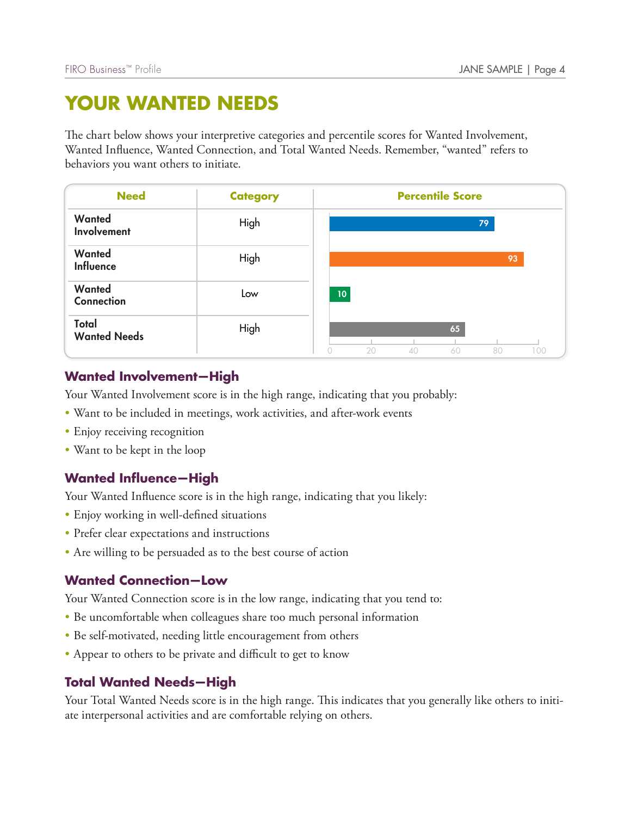# **YOUR WANTED NEEDS**

| <b>Need</b>                                                   | <b>Category</b>                                                                                                                | <b>Percentile Score</b>           |
|---------------------------------------------------------------|--------------------------------------------------------------------------------------------------------------------------------|-----------------------------------|
| Wanted<br><b>Involvement</b>                                  | High                                                                                                                           | 79                                |
| Wanted<br><b>Influence</b>                                    | High                                                                                                                           | 93                                |
| Wanted<br><b>Connection</b>                                   | Low                                                                                                                            | 10 <sub>1</sub>                   |
| Total<br><b>Wanted Needs</b>                                  | High<br>$\bigcirc$                                                                                                             | 65<br>20<br>80<br>40<br>100<br>60 |
| • Enjoy receiving recognition                                 | • Want to be included in meetings, work activities, and after-work events                                                      |                                   |
|                                                               |                                                                                                                                |                                   |
|                                                               |                                                                                                                                |                                   |
| • Want to be kept in the loop<br><b>Wanted Influence-High</b> | Your Wanted Influence score is in the high range, indicating that you likely:                                                  |                                   |
| • Enjoy working in well-defined situations                    |                                                                                                                                |                                   |
| • Prefer clear expectations and instructions                  | • Are willing to be persuaded as to the best course of action                                                                  |                                   |
| <b>Wanted Connection-Low</b>                                  |                                                                                                                                |                                   |
|                                                               | Your Wanted Connection score is in the low range, indicating that you tend to:                                                 |                                   |
|                                                               | • Be uncomfortable when colleagues share too much personal information                                                         |                                   |
|                                                               | • Be self-motivated, needing little encouragement from others<br>• Appear to others to be private and difficult to get to know |                                   |

## **Wanted Involvement—High**

- Want to be included in meetings, work activities, and after-work events
- Enjoy receiving recognition
- Want to be kept in the loop

## **Wanted Influence—High**

- Enjoy working in well-defined situations
- Prefer clear expectations and instructions
- Are willing to be persuaded as to the best course of action

- Be uncomfortable when colleagues share too much personal information
- Be self-motivated, needing little encouragement from others
- Appear to others to be private and difficult to get to know

Your Total Wanted Needs score is in the high range. This indicates that you generally like others to initiate interpersonal activities and are comfortable relying on others.